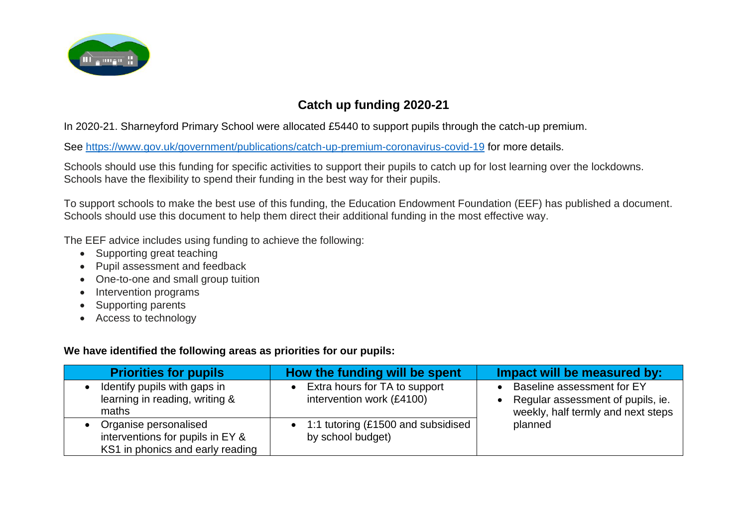

## **Catch up funding 2020-21**

In 2020-21. Sharneyford Primary School were allocated £5440 to support pupils through the catch-up premium.

See<https://www.gov.uk/government/publications/catch-up-premium-coronavirus-covid-19> for more details.

Schools should use this funding for specific activities to support their pupils to catch up for lost learning over the lockdowns. Schools have the flexibility to spend their funding in the best way for their pupils.

To support schools to make the best use of this funding, the Education Endowment Foundation (EEF) has published a document. Schools should use this document to help them direct their additional funding in the most effective way.

The EEF advice includes using funding to achieve the following:

- Supporting great teaching
- Pupil assessment and feedback
- One-to-one and small group tuition
- Intervention programs
- Supporting parents
- Access to technology

## **We have identified the following areas as priorities for our pupils:**

| <b>Priorities for pupils</b>                                                                  | How the funding will be spent                              | Impact will be measured by:                                                                                      |
|-----------------------------------------------------------------------------------------------|------------------------------------------------------------|------------------------------------------------------------------------------------------------------------------|
| Identify pupils with gaps in<br>learning in reading, writing &<br>maths                       | Extra hours for TA to support<br>intervention work (£4100) | Baseline assessment for EY<br>Regular assessment of pupils, ie.<br>weekly, half termly and next steps<br>planned |
| Organise personalised<br>interventions for pupils in EY &<br>KS1 in phonics and early reading | • 1:1 tutoring (£1500 and subsidised<br>by school budget)  |                                                                                                                  |